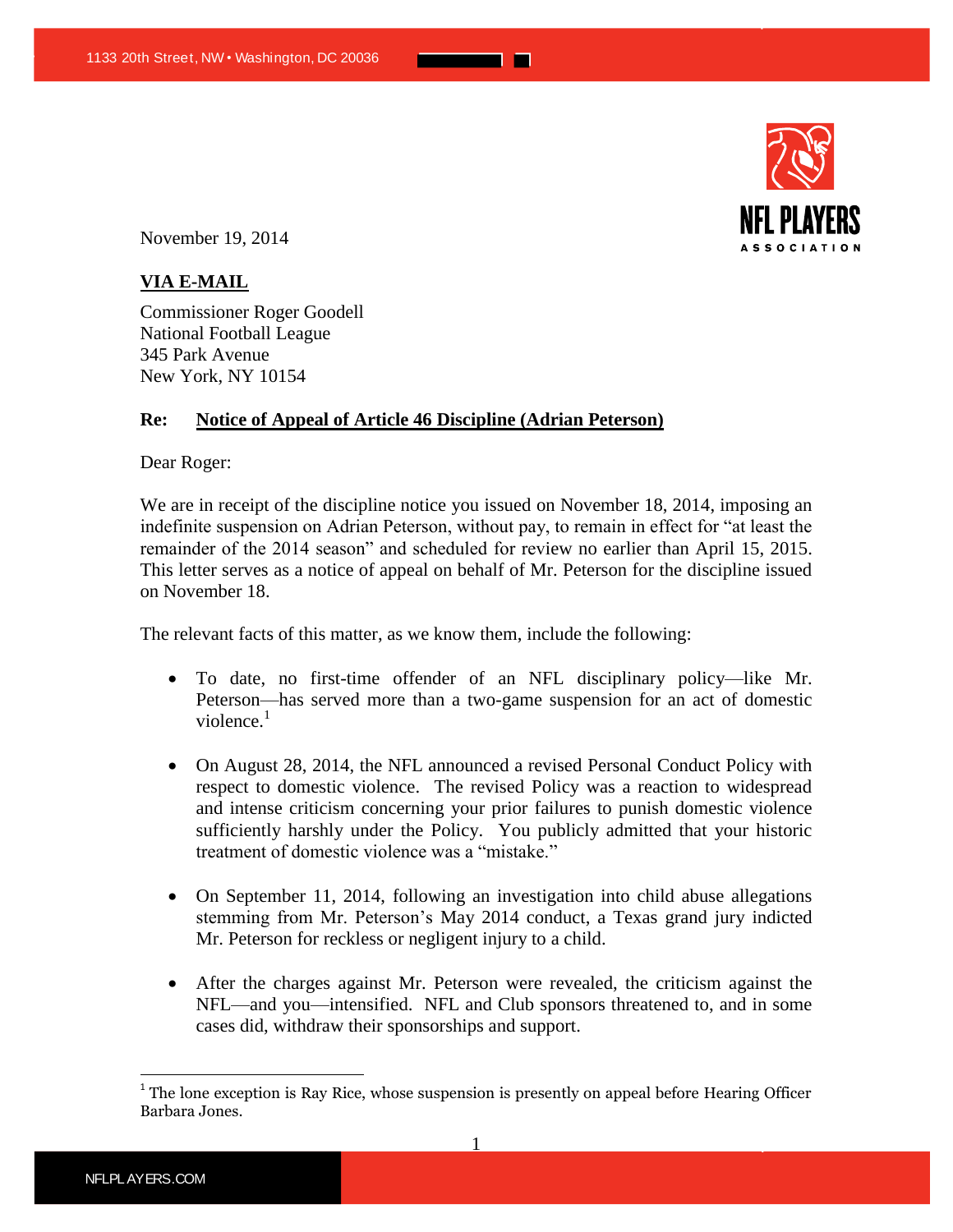

November 19, 2014

## **VIA E-MAIL**

Commissioner Roger Goodell National Football League 345 Park Avenue New York, NY 10154

## **Re: Notice of Appeal of Article 46 Discipline (Adrian Peterson)**

Dear Roger:

We are in receipt of the discipline notice you issued on November 18, 2014, imposing an indefinite suspension on Adrian Peterson, without pay, to remain in effect for "at least the remainder of the 2014 season" and scheduled for review no earlier than April 15, 2015. This letter serves as a notice of appeal on behalf of Mr. Peterson for the discipline issued on November 18.

<u> Tanzania de la pro</u>

The relevant facts of this matter, as we know them, include the following:

- To date, no first-time offender of an NFL disciplinary policy—like Mr. Peterson—has served more than a two-game suspension for an act of domestic violence. $<sup>1</sup>$ </sup>
- On August 28, 2014, the NFL announced a revised Personal Conduct Policy with respect to domestic violence. The revised Policy was a reaction to widespread and intense criticism concerning your prior failures to punish domestic violence sufficiently harshly under the Policy. You publicly admitted that your historic treatment of domestic violence was a "mistake."
- On September 11, 2014, following an investigation into child abuse allegations stemming from Mr. Peterson's May 2014 conduct, a Texas grand jury indicted Mr. Peterson for reckless or negligent injury to a child.
- After the charges against Mr. Peterson were revealed, the criticism against the NFL—and you—intensified. NFL and Club sponsors threatened to, and in some cases did, withdraw their sponsorships and support.

1

 $\overline{a}$ 

 $1$ <sup>1</sup> The lone exception is Ray Rice, whose suspension is presently on appeal before Hearing Officer Barbara Jones.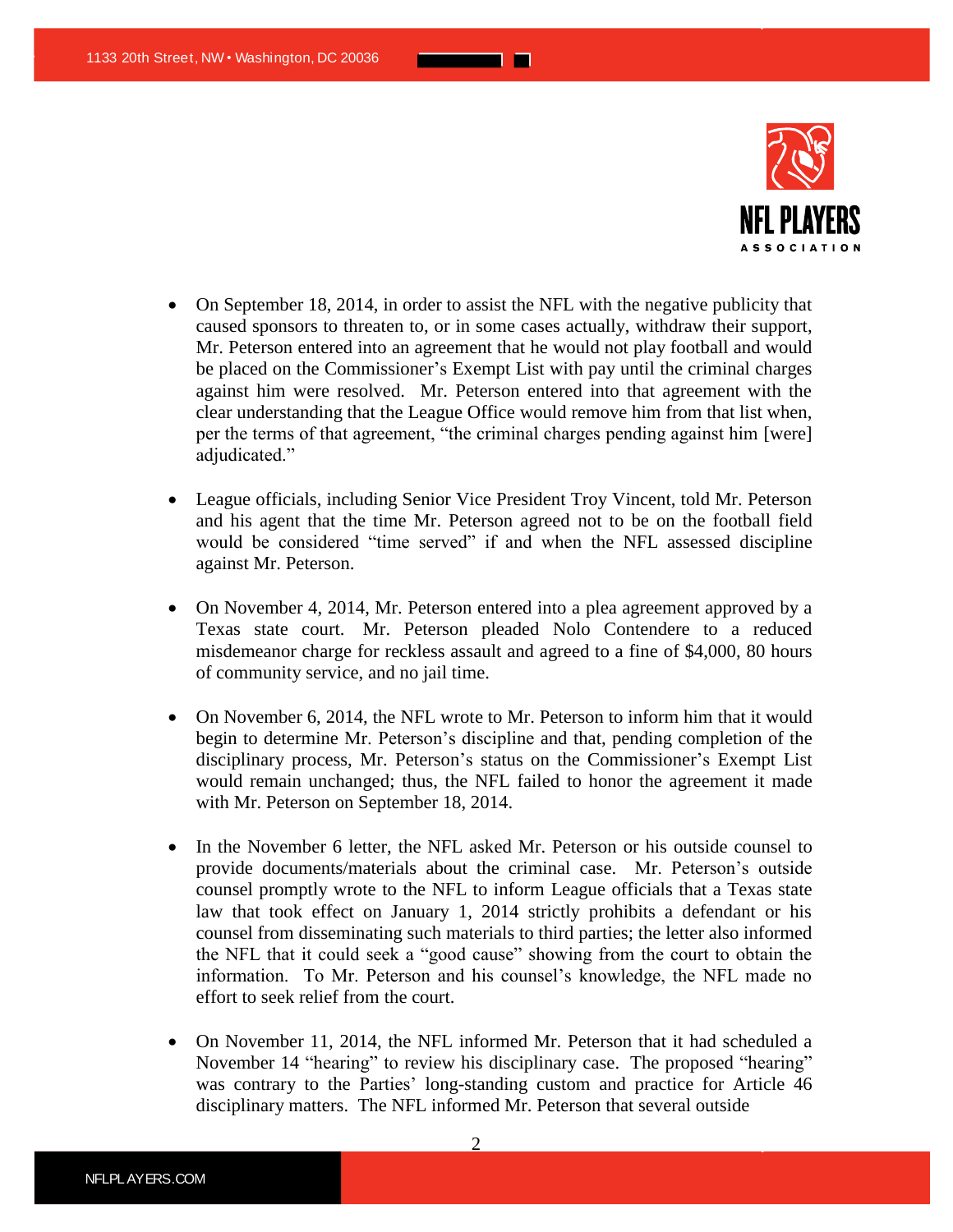

 On September 18, 2014, in order to assist the NFL with the negative publicity that caused sponsors to threaten to, or in some cases actually, withdraw their support, Mr. Peterson entered into an agreement that he would not play football and would be placed on the Commissioner's Exempt List with pay until the criminal charges against him were resolved. Mr. Peterson entered into that agreement with the clear understanding that the League Office would remove him from that list when, per the terms of that agreement, "the criminal charges pending against him [were] adjudicated."

<u> Tanzania de la pro</u>

- League officials, including Senior Vice President Troy Vincent, told Mr. Peterson and his agent that the time Mr. Peterson agreed not to be on the football field would be considered "time served" if and when the NFL assessed discipline against Mr. Peterson.
- On November 4, 2014, Mr. Peterson entered into a plea agreement approved by a Texas state court. Mr. Peterson pleaded Nolo Contendere to a reduced misdemeanor charge for reckless assault and agreed to a fine of \$4,000, 80 hours of community service, and no jail time.
- On November 6, 2014, the NFL wrote to Mr. Peterson to inform him that it would begin to determine Mr. Peterson's discipline and that, pending completion of the disciplinary process, Mr. Peterson's status on the Commissioner's Exempt List would remain unchanged; thus, the NFL failed to honor the agreement it made with Mr. Peterson on September 18, 2014.
- In the November 6 letter, the NFL asked Mr. Peterson or his outside counsel to provide documents/materials about the criminal case. Mr. Peterson's outside counsel promptly wrote to the NFL to inform League officials that a Texas state law that took effect on January 1, 2014 strictly prohibits a defendant or his counsel from disseminating such materials to third parties; the letter also informed the NFL that it could seek a "good cause" showing from the court to obtain the information. To Mr. Peterson and his counsel's knowledge, the NFL made no effort to seek relief from the court.
- On November 11, 2014, the NFL informed Mr. Peterson that it had scheduled a November 14 "hearing" to review his disciplinary case. The proposed "hearing" was contrary to the Parties' long-standing custom and practice for Article 46 disciplinary matters. The NFL informed Mr. Peterson that several outside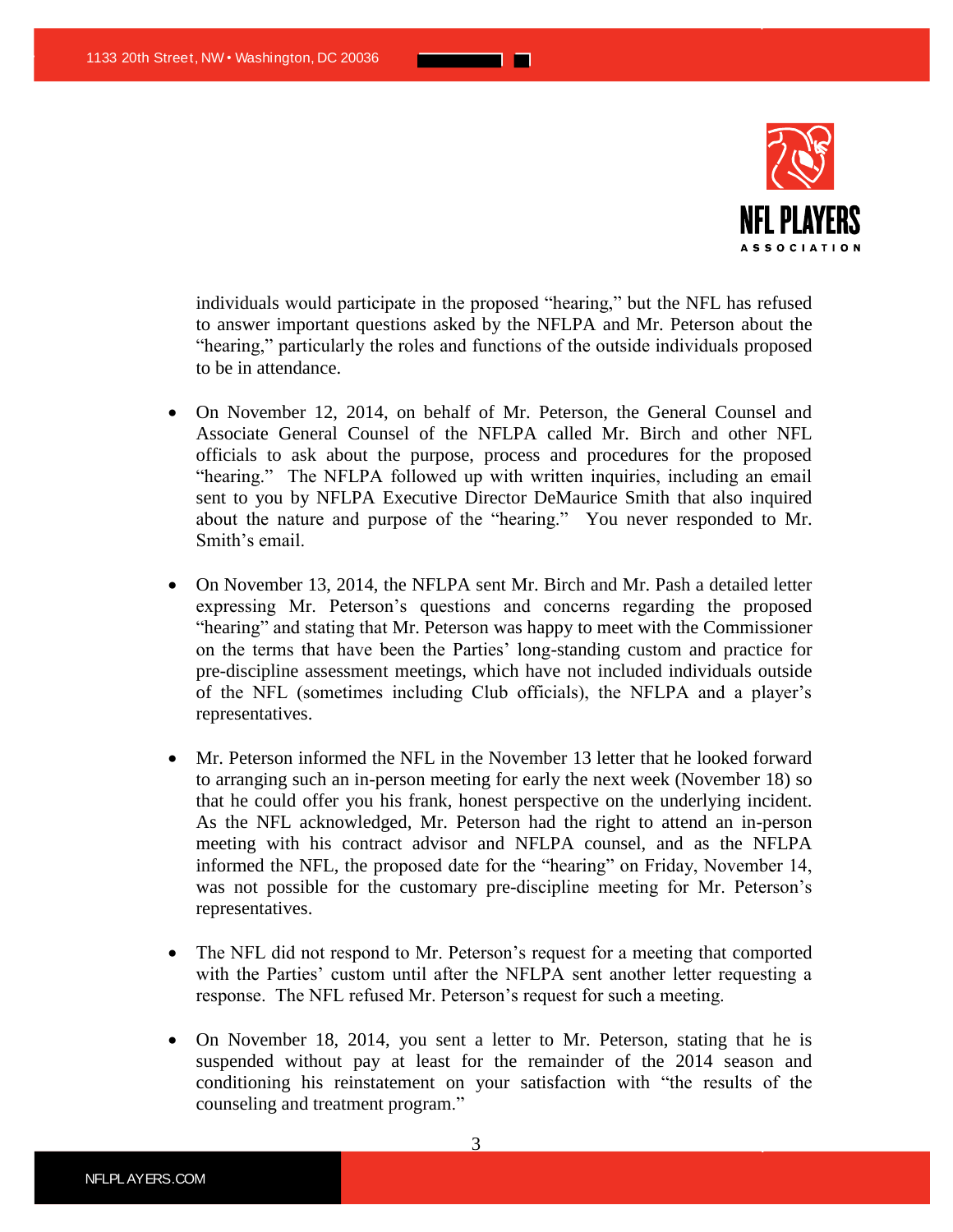

individuals would participate in the proposed "hearing," but the NFL has refused to answer important questions asked by the NFLPA and Mr. Peterson about the "hearing," particularly the roles and functions of the outside individuals proposed to be in attendance.

<u> Tanzania de la pro</u>

- On November 12, 2014, on behalf of Mr. Peterson, the General Counsel and Associate General Counsel of the NFLPA called Mr. Birch and other NFL officials to ask about the purpose, process and procedures for the proposed "hearing." The NFLPA followed up with written inquiries, including an email sent to you by NFLPA Executive Director DeMaurice Smith that also inquired about the nature and purpose of the "hearing." You never responded to Mr. Smith's email.
- On November 13, 2014, the NFLPA sent Mr. Birch and Mr. Pash a detailed letter expressing Mr. Peterson's questions and concerns regarding the proposed "hearing" and stating that Mr. Peterson was happy to meet with the Commissioner on the terms that have been the Parties' long-standing custom and practice for pre-discipline assessment meetings, which have not included individuals outside of the NFL (sometimes including Club officials), the NFLPA and a player's representatives.
- Mr. Peterson informed the NFL in the November 13 letter that he looked forward to arranging such an in-person meeting for early the next week (November 18) so that he could offer you his frank, honest perspective on the underlying incident. As the NFL acknowledged, Mr. Peterson had the right to attend an in-person meeting with his contract advisor and NFLPA counsel, and as the NFLPA informed the NFL, the proposed date for the "hearing" on Friday, November 14, was not possible for the customary pre-discipline meeting for Mr. Peterson's representatives.
- The NFL did not respond to Mr. Peterson's request for a meeting that comported with the Parties' custom until after the NFLPA sent another letter requesting a response. The NFL refused Mr. Peterson's request for such a meeting.
- On November 18, 2014, you sent a letter to Mr. Peterson, stating that he is suspended without pay at least for the remainder of the 2014 season and conditioning his reinstatement on your satisfaction with "the results of the counseling and treatment program."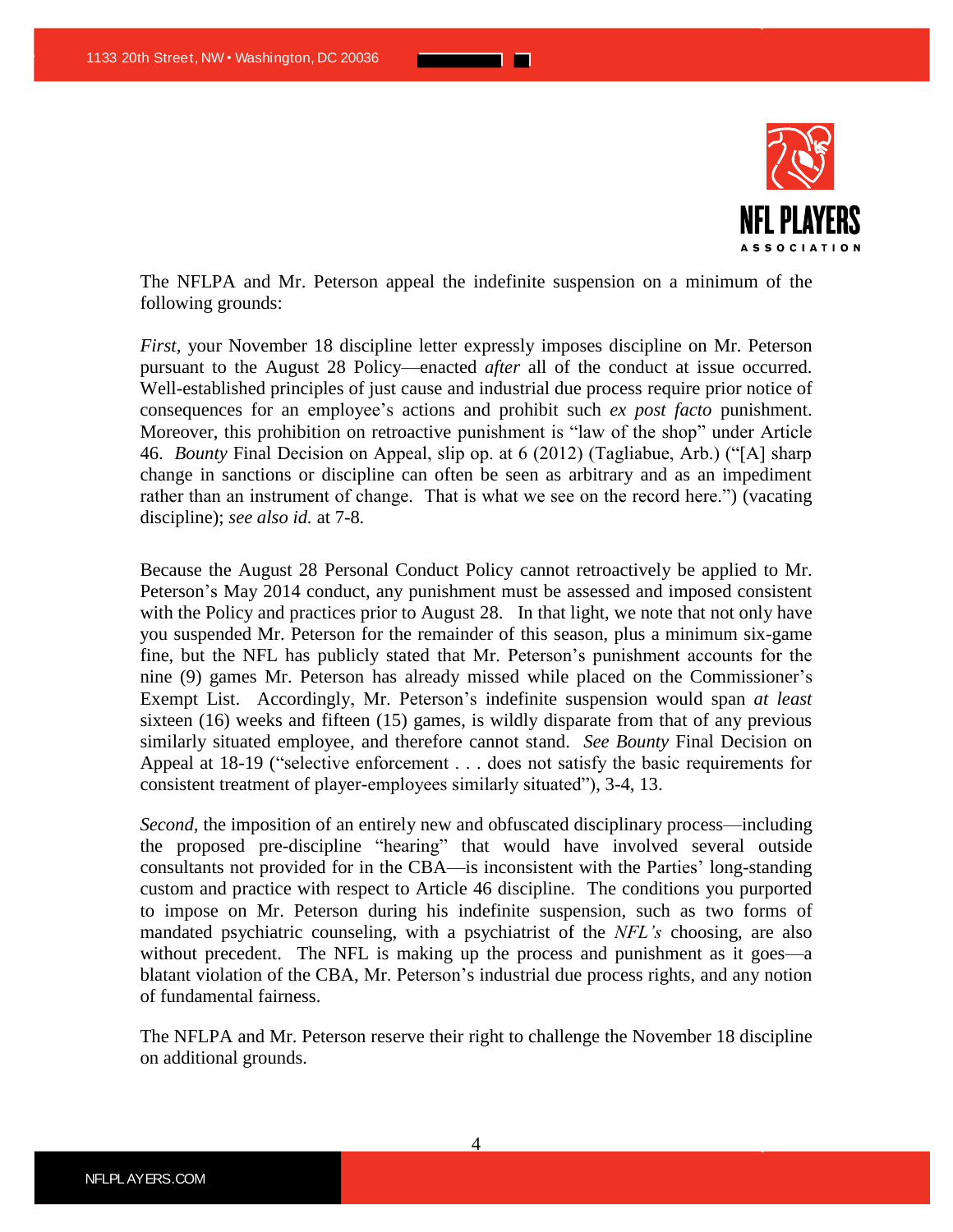

The NFLPA and Mr. Peterson appeal the indefinite suspension on a minimum of the following grounds:

*First,* your November 18 discipline letter expressly imposes discipline on Mr. Peterson pursuant to the August 28 Policy—enacted *after* all of the conduct at issue occurred. Well-established principles of just cause and industrial due process require prior notice of consequences for an employee's actions and prohibit such *ex post facto* punishment. Moreover, this prohibition on retroactive punishment is "law of the shop" under Article 46. *Bounty* Final Decision on Appeal, slip op. at 6 (2012) (Tagliabue, Arb.) ("[A] sharp change in sanctions or discipline can often be seen as arbitrary and as an impediment rather than an instrument of change. That is what we see on the record here.") (vacating discipline); *see also id.* at 7-8*.*

Because the August 28 Personal Conduct Policy cannot retroactively be applied to Mr. Peterson's May 2014 conduct, any punishment must be assessed and imposed consistent with the Policy and practices prior to August 28. In that light, we note that not only have you suspended Mr. Peterson for the remainder of this season, plus a minimum six-game fine, but the NFL has publicly stated that Mr. Peterson's punishment accounts for the nine (9) games Mr. Peterson has already missed while placed on the Commissioner's Exempt List. Accordingly, Mr. Peterson's indefinite suspension would span *at least* sixteen (16) weeks and fifteen (15) games, is wildly disparate from that of any previous similarly situated employee, and therefore cannot stand. *See Bounty* Final Decision on Appeal at 18-19 ("selective enforcement . . . does not satisfy the basic requirements for consistent treatment of player-employees similarly situated"), 3-4, 13.

*Second,* the imposition of an entirely new and obfuscated disciplinary process—including the proposed pre-discipline "hearing" that would have involved several outside consultants not provided for in the CBA—is inconsistent with the Parties' long-standing custom and practice with respect to Article 46 discipline. The conditions you purported to impose on Mr. Peterson during his indefinite suspension, such as two forms of mandated psychiatric counseling, with a psychiatrist of the *NFL's* choosing, are also without precedent. The NFL is making up the process and punishment as it goes—a blatant violation of the CBA, Mr. Peterson's industrial due process rights, and any notion of fundamental fairness.

The NFLPA and Mr. Peterson reserve their right to challenge the November 18 discipline on additional grounds.

4